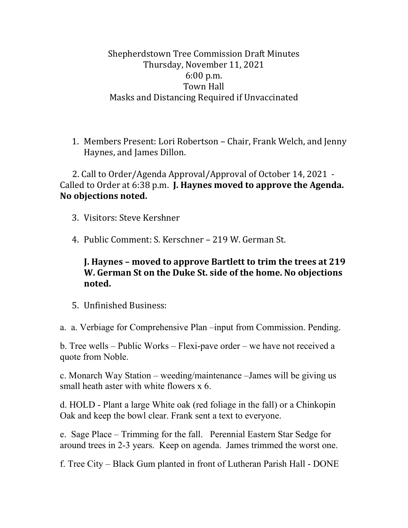Shepherdstown Tree Commission Draft Minutes Thursday, November 11, 2021 6:00 p.m. Town Hall Masks and Distancing Required if Unvaccinated

1. Members Present: Lori Robertson – Chair, Frank Welch, and Jenny Haynes, and James Dillon.

 2. Call to Order/Agenda Approval/Approval of October 14, 2021 - Called to Order at 6:38 p.m. **J. Haynes moved to approve the Agenda. No objections noted.**

- 3. Visitors: Steve Kershner
- 4. Public Comment: S. Kerschner 219 W. German St.

## **J. Haynes – moved to approve Bartlett to trim the trees at 219 W. German St on the Duke St. side of the home. No objections noted.**

- 5. Unfinished Business:
- a. a. Verbiage for Comprehensive Plan –input from Commission. Pending.

b. Tree wells – Public Works – Flexi-pave order – we have not received a quote from Noble.

c. Monarch Way Station – weeding/maintenance –James will be giving us small heath aster with white flowers x 6.

d. HOLD - Plant a large White oak (red foliage in the fall) or a Chinkopin Oak and keep the bowl clear. Frank sent a text to everyone.

e. Sage Place – Trimming for the fall. Perennial Eastern Star Sedge for around trees in 2-3 years. Keep on agenda. James trimmed the worst one.

f. Tree City – Black Gum planted in front of Lutheran Parish Hall - DONE